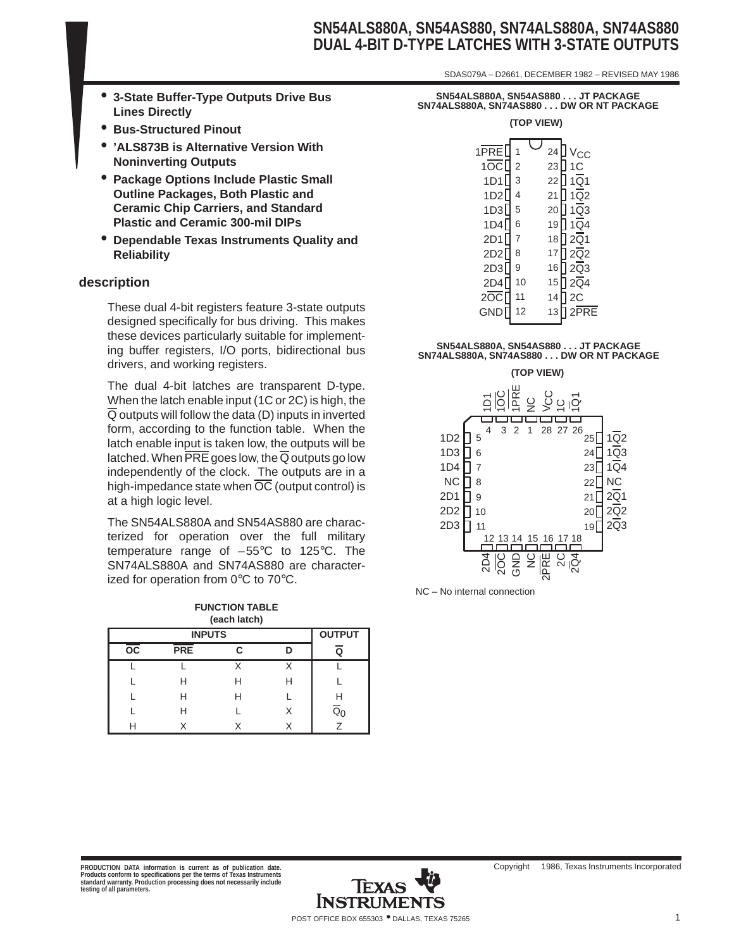### **SN54ALS880A, SN54AS880, SN74ALS880A, SN74AS880 DUAL 4-BIT D-TYPE LATCHES WITH 3-STATE OUTPUTS**

SDAS079A – D2661, DECEMBER 1982 – REVISED MAY 1986

- **3-State Buffer-Type Outputs Drive Bus Lines Directly**
- **Bus-Structured Pinout**
- **'ALS873B is Alternative Version With Noninverting Outputs**
- **Package Options Include Plastic Small Outline Packages, Both Plastic and Ceramic Chip Carriers, and Standard Plastic and Ceramic 300-mil DIPs**
- **Dependable Texas Instruments Quality and Reliability**

#### **description**

These dual 4-bit registers feature 3-state outputs designed specifically for bus driving. This makes these devices particularly suitable for implementing buffer registers, I/O ports, bidirectional bus drivers, and working registers.

The dual 4-bit latches are transparent D-type. When the latch enable input (1C or 2C) is high, the  $\overline{Q}$  outputs will follow the data (D) inputs in inverted form, according to the function table. When the latch enable input is taken low, the outputs will be latched. When  $\overline{\text{PRE}}$  goes low, the  $\overline{Q}$  outputs go low independently of the clock. The outputs are in a high-impedance state when  $\overline{OC}$  (output control) is at a high logic level.

The SN54ALS880A and SN54AS880 are characterized for operation over the full military temperature range of  $-55^{\circ}$ C to 125 $^{\circ}$ C. The SN74ALS880A and SN74AS880 are characterized for operation from  $0^{\circ}$ C to  $70^{\circ}$ C.

| <b>FUNCTION TABLE</b> |
|-----------------------|
| (each latch)          |

|                 | <b>OUTPUT</b><br><b>INPUTS</b> |   |   |                           |  |  |  |  |
|-----------------|--------------------------------|---|---|---------------------------|--|--|--|--|
| $\overline{oc}$ | <b>PRE</b>                     | C |   | Q                         |  |  |  |  |
|                 |                                |   |   |                           |  |  |  |  |
|                 | Н                              | Н | Н |                           |  |  |  |  |
|                 | н                              | н |   | Н                         |  |  |  |  |
|                 | H                              |   | x | $\overline{\mathtt{Q}}_0$ |  |  |  |  |
|                 |                                |   |   |                           |  |  |  |  |

| SN54ALS880A, SN54AS880 JT PACKAGE       |
|-----------------------------------------|
| SN74ALS880A. SN74AS880 DW OR NT PACKAGE |
| (TAD VIEN)                              |

| $1$ PRE<br>10C<br>1D1<br>1D2<br>1D3<br>1D4<br>2D1<br>2D <sub>2</sub><br>2D3<br>2D4<br>20C<br>GND <sup>[</sup> | $\overline{2}$<br>3<br>4<br>5<br>6<br>7<br>8<br>9<br>10<br>11<br>12 | 24<br>23<br>22<br>21<br>20<br>19<br>18<br>17<br>16<br>15<br>14<br>13 | $V_{\rm CC}$<br>1 <sup>C</sup><br>$1\overline{Q}$<br>$1\overline{Q}2$<br>$1\overline{Q}3$<br>$1\overline{Q}4$<br>$2\overline{Q}$ 1<br>$2\overline{Q}$<br>$2\overline{Q}3$<br>$2\overline{Q}4$<br>2C<br>$2$ PRE |
|---------------------------------------------------------------------------------------------------------------|---------------------------------------------------------------------|----------------------------------------------------------------------|----------------------------------------------------------------------------------------------------------------------------------------------------------------------------------------------------------------|
|                                                                                                               |                                                                     |                                                                      |                                                                                                                                                                                                                |

# **SN54ALS880A, SN54AS880 . . . JT PACKAGE SN74ALS880A, SN74AS880 . . . DW OR NT PACKAGE**



NC – No internal connection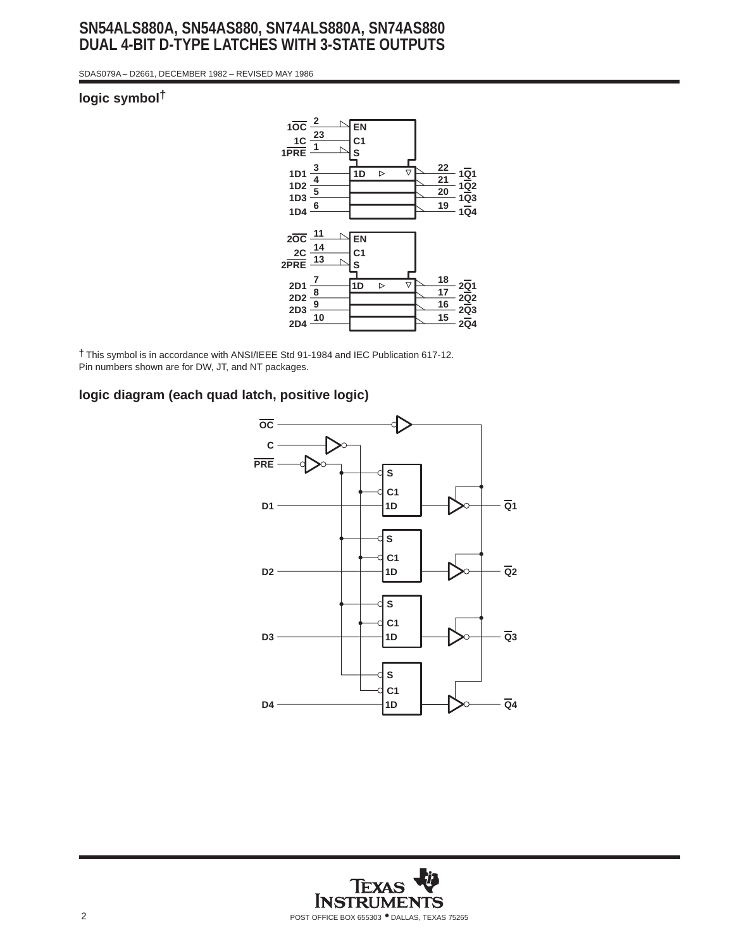### **SN54ALS880A, SN54AS880, SN74ALS880A, SN74AS880 DUAL 4-BIT D-TYPE LATCHES WITH 3-STATE OUTPUTS**

SDAS079A – D2661, DECEMBER 1982 – REVISED MAY 1986

#### **logic symbol†**



† This symbol is in accordance with ANSI/IEEE Std 91-1984 and IEC Publication 617-12. Pin numbers shown are for DW, JT, and NT packages.

#### **logic diagram (each quad latch, positive logic)**



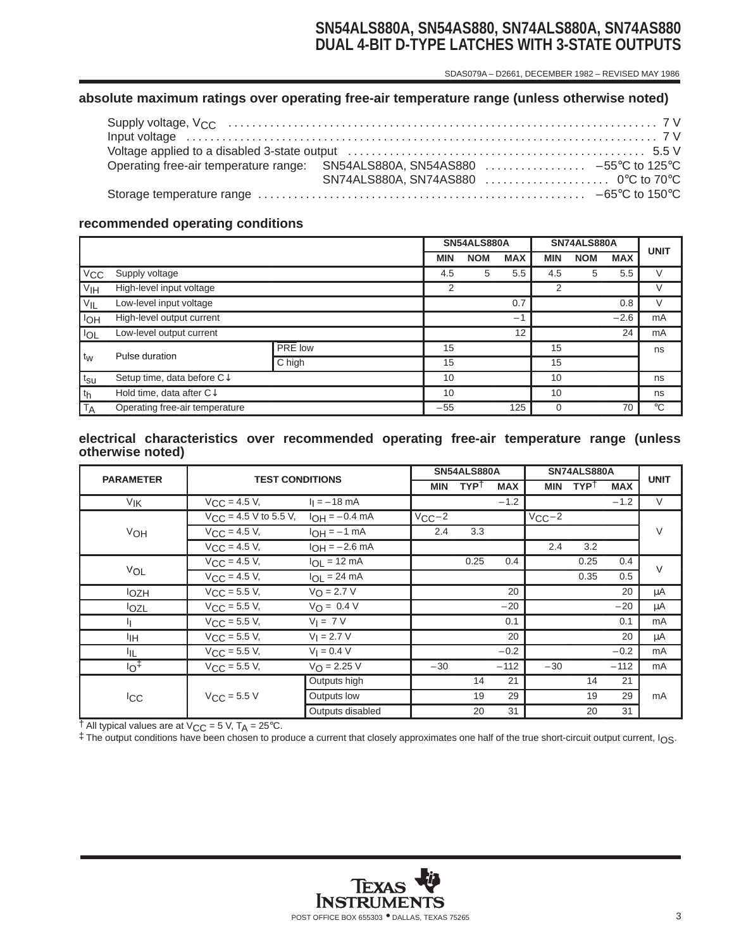### **SN54ALS880A, SN54AS880, SN74ALS880A, SN74AS880 DUAL 4-BIT D-TYPE LATCHES WITH 3-STATE OUTPUTS**

SDAS079A – D2661, DECEMBER 1982 – REVISED MAY 1986

#### **absolute maximum ratings over operating free-air temperature range (unless otherwise noted)**

#### **recommended operating conditions**

|                   |                                     |                |    |            | SN54ALS880A |            |            | SN74ALS880A |            | <b>UNIT</b> |
|-------------------|-------------------------------------|----------------|----|------------|-------------|------------|------------|-------------|------------|-------------|
|                   |                                     |                |    | <b>MIN</b> | <b>NOM</b>  | <b>MAX</b> | <b>MIN</b> | <b>NOM</b>  | <b>MAX</b> |             |
| $V_{\rm CC}$      | Supply voltage                      |                |    | 4.5        | 5           | 5.5        | 4.5        | 5           | 5.5        | V           |
| V <sub>IH</sub>   | High-level input voltage            |                |    | 2          |             |            | 2          |             |            | V           |
| $V_{IL}$          | Low-level input voltage             |                |    |            |             | 0.7        |            |             | 0.8        | V           |
| 1 <sub>OH</sub>   | High-level output current           |                |    |            | $-1$        |            |            | $-2.6$      | mA         |             |
| <b>IOL</b>        | Low-level output current            |                |    |            |             | 12         |            |             | 24         | mA          |
|                   | Pulse duration                      | <b>PRE</b> low |    | 15         |             |            | 15         |             |            | ns          |
| $t_W$             |                                     | C high         |    | 15         |             |            | 15         |             |            |             |
| $t_{\texttt{SU}}$ | Setup time, data before C↓          |                | 10 |            |             | 10         |            |             | ns         |             |
| th                | Hold time, data after $C\downarrow$ |                |    | 10         |             |            | 10         |             |            | ns          |
| <b>TA</b>         | Operating free-air temperature      |                |    | $-55$      |             | 125        | 0          |             | 70         | $^{\circ}C$ |

#### **electrical characteristics over recommended operating free-air temperature range (unless otherwise noted)**

| <b>PARAMETER</b>      | <b>TEST CONDITIONS</b>     |                        | <b>SN54ALS880A</b> |                  |            | SN74ALS880A |                  |            | <b>UNIT</b> |
|-----------------------|----------------------------|------------------------|--------------------|------------------|------------|-------------|------------------|------------|-------------|
|                       |                            |                        | <b>MIN</b>         | TYP <sup>†</sup> | <b>MAX</b> | <b>MIN</b>  | TYP <sup>†</sup> | <b>MAX</b> |             |
| <b>V<sub>IK</sub></b> | $V_{CC} = 4.5 V,$          | $I_1 = -18$ mA         |                    |                  | $-1.2$     |             |                  | $-1.2$     | $\vee$      |
|                       | $V_{CC}$ = 4.5 V to 5.5 V, | $I_{OH} = -0.4$ mA     | $V_{CC}-2$         |                  |            | $V_{CC}-2$  |                  |            |             |
| VOH                   | $V_{\text{CC}} = 4.5 V,$   | $I_{OH} = -1$ mA       | 2.4                | 3.3              |            |             |                  |            | $\vee$      |
|                       | $V_{CC} = 4.5 V,$          | $I_{OH} = -2.6$ mA     |                    |                  |            | 2.4         | 3.2              |            |             |
|                       | $V_{CC} = 4.5 V,$          | $I_{OL}$ = 12 mA       |                    | 0.25             | 0.4        |             | 0.25             | 0.4        | $\vee$      |
| VOL                   | $V_{CC} = 4.5 V,$          | $I_{OL}$ = 24 mA       |                    |                  |            |             | 0.35             | 0.5        |             |
| <b>l</b> OZH          | $V_{CC}$ = 5.5 V,          | $V_{\text{O}} = 2.7 V$ |                    |                  | 20         |             |                  | 20         | μA          |
| lozL                  | $V_{CC}$ = 5.5 V,          | $V_O = 0.4 V$          |                    |                  | $-20$      |             |                  | $-20$      | μA          |
|                       | $V_{\text{CC}} = 5.5 V,$   | $V_I = 7 V$            |                    |                  | 0.1        |             |                  | 0.1        | mA          |
| ŀщ                    | $V_{CC} = 5.5 V,$          | $V_1 = 2.7 V$          |                    |                  | 20         |             |                  | 20         | μA          |
| ŀщ                    | $V_{CC}$ = 5.5 V,          | $V_1 = 0.4 V$          |                    |                  | $-0.2$     |             |                  | $-0.2$     | mA          |
| $10+$                 | $V_{CC}$ = 5.5 V,          | $V_{\Omega} = 2.25 V$  | $-30$              |                  | $-112$     | $-30$       |                  | $-112$     | mA          |
|                       |                            | Outputs high           |                    | 14               | 21         |             | 14               | 21         |             |
| <b>ICC</b>            | $V_{\text{CC}}$ = 5.5 V    | Outputs low            |                    | 19               | 29         |             | 19               | 29         | mA          |
|                       |                            | Outputs disabled       |                    | 20               | 31         |             | 20               | 31         |             |

 $\dagger$  All typical values are at V<sub>CC</sub> = 5 V, T<sub>A</sub> = 25°C.

‡ The output conditions have been chosen to produce a current that closely approximates one half of the true short-circuit output current, IOS.

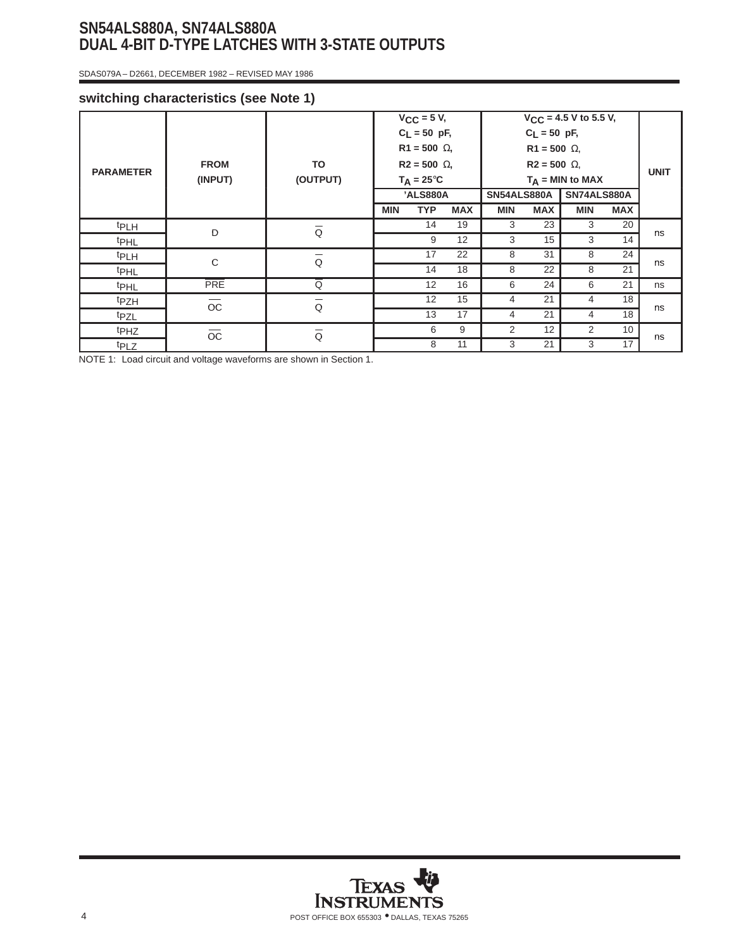# **SN54ALS880A, SN74ALS880A DUAL 4-BIT D-TYPE LATCHES WITH 3-STATE OUTPUTS**

SDAS079A – D2661, DECEMBER 1982 – REVISED MAY 1986

#### **switching characteristics (see Note 1)**

| <b>PARAMETER</b> | <b>FROM</b><br>(INPUT) | TO<br>(OUTPUT)          |            | $V_{CC}$ = 5 V,<br>$C_L = 50$ pF,<br>$R1 = 500 \Omega$ ,<br>$R2 = 500 \Omega$ ,<br>$T_A = 25^{\circ}C$<br>'ALS880A |            | <b>SN54ALS880A</b> | $C_L = 50$ pF,<br>$R1 = 500 \Omega$ ,<br>$R2 = 500 \Omega$ , | $V_{CC}$ = 4.5 V to 5.5 V,<br>$T_A = MIN$ to MAX<br><b>SN74ALS880A</b> |            | <b>UNIT</b> |
|------------------|------------------------|-------------------------|------------|--------------------------------------------------------------------------------------------------------------------|------------|--------------------|--------------------------------------------------------------|------------------------------------------------------------------------|------------|-------------|
|                  |                        |                         | <b>MIN</b> | <b>TYP</b>                                                                                                         | <b>MAX</b> | <b>MIN</b>         | <b>MAX</b>                                                   | <b>MIN</b>                                                             | <b>MAX</b> |             |
| <b>tPLH</b>      | D                      | $\overline{\textsf{Q}}$ |            | 14                                                                                                                 | 19         | 3                  | 23                                                           | 3                                                                      | 20         |             |
| <b>t</b> PHL     |                        |                         |            | 9                                                                                                                  | 12         | 3                  | 15                                                           | 3                                                                      | 14         | ns          |
| t <sub>PLH</sub> | $\mathbf C$            | $\overline{\texttt{Q}}$ |            | 17                                                                                                                 | 22         | 8                  | 31                                                           | 8                                                                      | 24         | ns          |
| <b>t</b> PHL     |                        |                         |            | 14                                                                                                                 | 18         | 8                  | 22                                                           | 8                                                                      | 21         |             |
| <b>t</b> PHL     | <b>PRE</b>             | Q                       |            | 12                                                                                                                 | 16         | 6                  | 24                                                           | 6                                                                      | 21         | ns          |
| <sup>t</sup> PZH | $\overline{\rm oc}$    | $\overline{\texttt{Q}}$ |            | 12                                                                                                                 | 15         | $\overline{4}$     | 21                                                           | 4                                                                      | 18         | ns          |
| t <sub>PZL</sub> |                        |                         |            | 13                                                                                                                 | 17         | $\overline{4}$     | 21                                                           | 4                                                                      | 18         |             |
| <sup>t</sup> PHZ | $\overline{\rm OC}$    | $\overline{\textsf{Q}}$ |            | 6                                                                                                                  | 9          | 2                  | 12                                                           | 2                                                                      | 10         | ns          |
| t <sub>PLZ</sub> |                        |                         |            | 8                                                                                                                  | 11         | 3                  | 21                                                           | 3                                                                      | 17         |             |

NOTE 1: Load circuit and voltage waveforms are shown in Section 1.

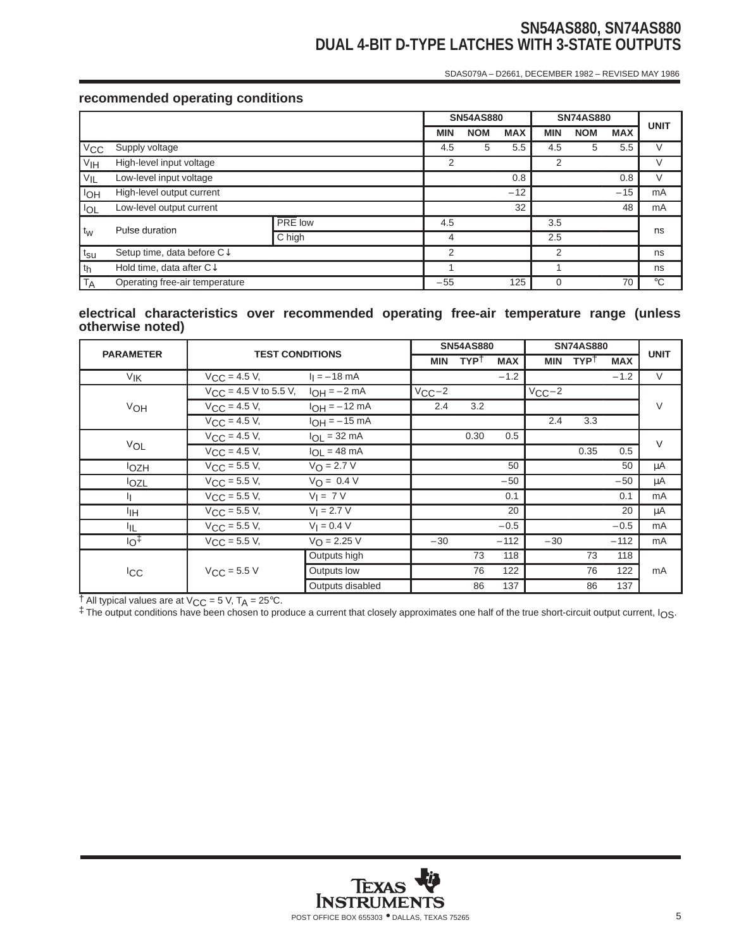# **SN54AS880, SN74AS880 DUAL 4-BIT D-TYPE LATCHES WITH 3-STATE OUTPUTS**

SDAS079A – D2661, DECEMBER 1982 – REVISED MAY 1986

#### **recommended operating conditions**

|                 |                                        |         |   |            | <b>SN54AS880</b> |            |            | <b>SN74AS880</b> |            | <b>UNIT</b> |
|-----------------|----------------------------------------|---------|---|------------|------------------|------------|------------|------------------|------------|-------------|
|                 |                                        |         |   | <b>MIN</b> | <b>NOM</b>       | <b>MAX</b> | <b>MIN</b> | <b>NOM</b>       | <b>MAX</b> |             |
| $V_{CC}$        | Supply voltage                         |         |   | 4.5        | 5                | 5.5        | 4.5        | 5                | 5.5        | V           |
| V <sub>IH</sub> | High-level input voltage               |         |   | 2          |                  |            | 2          |                  |            |             |
| $V_{IL}$        | Low-level input voltage                |         |   |            |                  | 0.8        |            |                  | 0.8        | V           |
| <b>IOH</b>      | High-level output current              |         |   |            | $-12$            |            |            | $-15$            | mA         |             |
| $I_{OL}$        | Low-level output current               |         |   |            |                  | 32         |            |                  | 48         | mA          |
|                 | Pulse duration                         | PRE low |   | 4.5        |                  |            | 3.5        |                  |            |             |
| $t_{W}$         |                                        | C high  |   | 4          |                  |            | 2.5        |                  |            | ns          |
| $t_{\text{SU}}$ | Setup time, data before C $\downarrow$ |         | 2 |            |                  | 2          |            |                  | ns         |             |
| $ t_{h} $       | Hold time, data after $C\downarrow$    |         |   |            |                  |            |            |                  |            | ns          |
| <b>TA</b>       | Operating free-air temperature         |         |   | $-55$      |                  | 125        | 0          |                  | 70         | $^{\circ}C$ |

#### **electrical characteristics over recommended operating free-air temperature range (unless otherwise noted)**

| <b>PARAMETER</b> | <b>TEST CONDITIONS</b>                    |                       |            | <b>SN54AS880</b> |            | <b>SN74AS880</b> | <b>UNIT</b>      |            |        |
|------------------|-------------------------------------------|-----------------------|------------|------------------|------------|------------------|------------------|------------|--------|
|                  |                                           |                       | <b>MIN</b> | TYP <sup>†</sup> | <b>MAX</b> | <b>MIN</b>       | TYP <sup>†</sup> | <b>MAX</b> |        |
| V <sub>IK</sub>  | $V_{\text{CC}} = 4.5 V,$                  | $I_1 = -18$ mA        |            |                  | $-1.2$     |                  |                  | $-1.2$     | $\vee$ |
|                  | $V_{\text{CC}} = 4.5 \text{ V}$ to 5.5 V, | $I_{OH} = -2 mA$      | $V_{CC}-2$ |                  |            | $V_{CC}-2$       |                  |            |        |
| VOH              | $V_{\rm CC}$ = 4.5 V,                     | $I_{OH} = -12$ mA     | 2.4        | 3.2              |            |                  |                  |            | V      |
|                  | $V_{\text{CC}} = 4.5 V,$                  | $I_{OH} = -15$ mA     |            |                  |            | 2.4              | 3.3              |            |        |
|                  | $V_{C,C} = 4.5 V$ ,                       | $I_{OL}$ = 32 mA      |            | 0.30             | 0.5        |                  |                  |            | $\vee$ |
| VOL              | $V_{\text{CC}} = 4.5 V,$                  | $I_{OL}$ = 48 mA      |            |                  |            |                  | 0.35             | 0.5        |        |
| <b>lozh</b>      | $V_{\text{CC}} = 5.5 V,$                  | $V_O = 2.7 V$         |            |                  | 50         |                  |                  | 50         | μA     |
| lozL             | $V_{\text{CC}} = 5.5 V,$                  | $V_O = 0.4 V$         |            |                  | $-50$      |                  |                  | $-50$      | μA     |
| IJ.              | $V_{CC} = 5.5 V,$                         | $V_I = 7 V$           |            |                  | 0.1        |                  |                  | 0.1        | mA     |
| ŀщ               | $V_{\rm CC}$ = 5.5 V,                     | $V_1 = 2.7 V$         |            |                  | 20         |                  |                  | 20         | μA     |
| I <sub>IL</sub>  | $V_{CC} = 5.5 V,$                         | $V_1 = 0.4 V$         |            |                  | $-0.5$     |                  |                  | $-0.5$     | mA     |
| $10+$            | $V_{CC} = 5.5 V,$                         | $V_{\Omega} = 2.25 V$ | $-30$      |                  | $-112$     | $-30$            |                  | $-112$     | mA     |
| <b>ICC</b>       |                                           | Outputs high          |            | 73               | 118        |                  | 73               | 118        |        |
|                  | $V_{CC}$ = 5.5 V                          | Outputs low           |            | 76               | 122        |                  | 76               | 122        | mA     |
|                  |                                           | Outputs disabled      |            | 86               | 137        |                  | 86               | 137        |        |

 $\dagger$  All typical values are at V<sub>CC</sub> = 5 V, T<sub>A</sub> = 25°C.

‡ The output conditions have been chosen to produce a current that closely approximates one half of the true short-circuit output current, IOS.